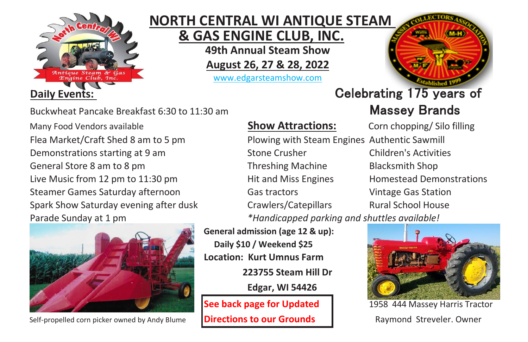

# **NORTH CENTRAL WI ANTIQUE STEAM**

 **& GAS ENGINE CLUB, INC.**

**49th Annual Steam Show**

**August 26, 27 & 28, 2022**

www.edgarsteamshow.com



Buckwheat Pancake Breakfast 6:30 to 11:30 am Massey Brands

Many Food Vendors available **Show Attractions:** Corn chopping/ Silo filling



Self-propelled corn picker owned by Andy Blume **Directions to our Grounds** Raymond Streveler. Owner

Flea Market/Craft Shed 8 am to 5 pm Plowing with Steam Engines Authentic Sawmill Demonstrations starting at 9 am Stone Crusher Children's Activities General Store 8 am to 8 pm Threshing Machine Blacksmith Shop Live Music from 12 pm to 11:30 pm Hit and Miss Engines Homestead Demonstrations Steamer Games Saturday afternoon Gas tractors Vintage Gas Station Spark Show Saturday evening after dusk Crawlers/Catepillars Rural School House Parade Sunday at 1 pm *\*Handicapped parking and shuttles available!*

> **General admission (age 12 & up): Daily \$10 / Weekend \$25 Location: Kurt Umnus Farm 223755 Steam Hill Dr**

> > **Edgar, WI 54426**

# **Daily Events: Celebrating 175 years of**



**See back page for Updated** 1958 444 Massey Harris Tractor